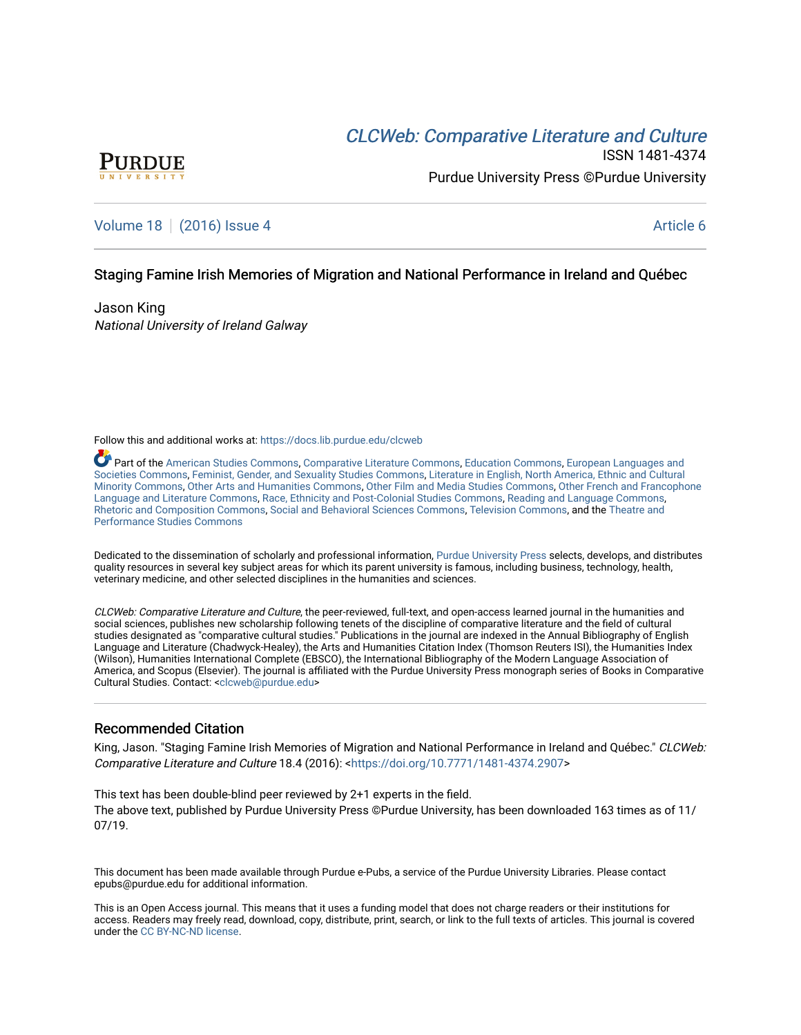# CLCW[eb: Comparative Liter](https://docs.lib.purdue.edu/clcweb)ature and Culture



ISSN 1481-4374 Purdue University Press ©Purdue University

# [Volume 18](https://docs.lib.purdue.edu/clcweb/vol18) | [\(2016\) Issue 4](https://docs.lib.purdue.edu/clcweb/vol18/iss4) Article 6

## Staging Famine Irish Memories of Migration and National Performance in Ireland and Québec

Jason King National University of Ireland Galway

Follow this and additional works at: [https://docs.lib.purdue.edu/clcweb](https://docs.lib.purdue.edu/clcweb?utm_source=docs.lib.purdue.edu%2Fclcweb%2Fvol18%2Fiss4%2F6&utm_medium=PDF&utm_campaign=PDFCoverPages)

Part of the [American Studies Commons](http://network.bepress.com/hgg/discipline/439?utm_source=docs.lib.purdue.edu%2Fclcweb%2Fvol18%2Fiss4%2F6&utm_medium=PDF&utm_campaign=PDFCoverPages), [Comparative Literature Commons,](http://network.bepress.com/hgg/discipline/454?utm_source=docs.lib.purdue.edu%2Fclcweb%2Fvol18%2Fiss4%2F6&utm_medium=PDF&utm_campaign=PDFCoverPages) [Education Commons,](http://network.bepress.com/hgg/discipline/784?utm_source=docs.lib.purdue.edu%2Fclcweb%2Fvol18%2Fiss4%2F6&utm_medium=PDF&utm_campaign=PDFCoverPages) [European Languages and](http://network.bepress.com/hgg/discipline/482?utm_source=docs.lib.purdue.edu%2Fclcweb%2Fvol18%2Fiss4%2F6&utm_medium=PDF&utm_campaign=PDFCoverPages) [Societies Commons](http://network.bepress.com/hgg/discipline/482?utm_source=docs.lib.purdue.edu%2Fclcweb%2Fvol18%2Fiss4%2F6&utm_medium=PDF&utm_campaign=PDFCoverPages), [Feminist, Gender, and Sexuality Studies Commons,](http://network.bepress.com/hgg/discipline/559?utm_source=docs.lib.purdue.edu%2Fclcweb%2Fvol18%2Fiss4%2F6&utm_medium=PDF&utm_campaign=PDFCoverPages) [Literature in English, North America, Ethnic and Cultural](http://network.bepress.com/hgg/discipline/459?utm_source=docs.lib.purdue.edu%2Fclcweb%2Fvol18%2Fiss4%2F6&utm_medium=PDF&utm_campaign=PDFCoverPages)  [Minority Commons,](http://network.bepress.com/hgg/discipline/459?utm_source=docs.lib.purdue.edu%2Fclcweb%2Fvol18%2Fiss4%2F6&utm_medium=PDF&utm_campaign=PDFCoverPages) [Other Arts and Humanities Commons,](http://network.bepress.com/hgg/discipline/577?utm_source=docs.lib.purdue.edu%2Fclcweb%2Fvol18%2Fiss4%2F6&utm_medium=PDF&utm_campaign=PDFCoverPages) [Other Film and Media Studies Commons,](http://network.bepress.com/hgg/discipline/565?utm_source=docs.lib.purdue.edu%2Fclcweb%2Fvol18%2Fiss4%2F6&utm_medium=PDF&utm_campaign=PDFCoverPages) [Other French and Francophone](http://network.bepress.com/hgg/discipline/466?utm_source=docs.lib.purdue.edu%2Fclcweb%2Fvol18%2Fiss4%2F6&utm_medium=PDF&utm_campaign=PDFCoverPages) [Language and Literature Commons](http://network.bepress.com/hgg/discipline/466?utm_source=docs.lib.purdue.edu%2Fclcweb%2Fvol18%2Fiss4%2F6&utm_medium=PDF&utm_campaign=PDFCoverPages), [Race, Ethnicity and Post-Colonial Studies Commons](http://network.bepress.com/hgg/discipline/566?utm_source=docs.lib.purdue.edu%2Fclcweb%2Fvol18%2Fiss4%2F6&utm_medium=PDF&utm_campaign=PDFCoverPages), [Reading and Language Commons,](http://network.bepress.com/hgg/discipline/1037?utm_source=docs.lib.purdue.edu%2Fclcweb%2Fvol18%2Fiss4%2F6&utm_medium=PDF&utm_campaign=PDFCoverPages) [Rhetoric and Composition Commons](http://network.bepress.com/hgg/discipline/573?utm_source=docs.lib.purdue.edu%2Fclcweb%2Fvol18%2Fiss4%2F6&utm_medium=PDF&utm_campaign=PDFCoverPages), [Social and Behavioral Sciences Commons,](http://network.bepress.com/hgg/discipline/316?utm_source=docs.lib.purdue.edu%2Fclcweb%2Fvol18%2Fiss4%2F6&utm_medium=PDF&utm_campaign=PDFCoverPages) [Television Commons,](http://network.bepress.com/hgg/discipline/1143?utm_source=docs.lib.purdue.edu%2Fclcweb%2Fvol18%2Fiss4%2F6&utm_medium=PDF&utm_campaign=PDFCoverPages) and the [Theatre and](http://network.bepress.com/hgg/discipline/552?utm_source=docs.lib.purdue.edu%2Fclcweb%2Fvol18%2Fiss4%2F6&utm_medium=PDF&utm_campaign=PDFCoverPages) [Performance Studies Commons](http://network.bepress.com/hgg/discipline/552?utm_source=docs.lib.purdue.edu%2Fclcweb%2Fvol18%2Fiss4%2F6&utm_medium=PDF&utm_campaign=PDFCoverPages) 

Dedicated to the dissemination of scholarly and professional information, [Purdue University Press](http://www.thepress.purdue.edu/) selects, develops, and distributes quality resources in several key subject areas for which its parent university is famous, including business, technology, health, veterinary medicine, and other selected disciplines in the humanities and sciences.

CLCWeb: Comparative Literature and Culture, the peer-reviewed, full-text, and open-access learned journal in the humanities and social sciences, publishes new scholarship following tenets of the discipline of comparative literature and the field of cultural studies designated as "comparative cultural studies." Publications in the journal are indexed in the Annual Bibliography of English Language and Literature (Chadwyck-Healey), the Arts and Humanities Citation Index (Thomson Reuters ISI), the Humanities Index (Wilson), Humanities International Complete (EBSCO), the International Bibliography of the Modern Language Association of America, and Scopus (Elsevier). The journal is affiliated with the Purdue University Press monograph series of Books in Comparative Cultural Studies. Contact: [<clcweb@purdue.edu](mailto:clcweb@purdue.edu)>

### Recommended Citation

King, Jason. "Staging Famine Irish Memories of Migration and National Performance in Ireland and Québec." CLCWeb: Comparative Literature and Culture 18.4 (2016): <<https://doi.org/10.7771/1481-4374.2907>>

This text has been double-blind peer reviewed by 2+1 experts in the field. The above text, published by Purdue University Press ©Purdue University, has been downloaded 163 times as of 11/ 07/19.

This document has been made available through Purdue e-Pubs, a service of the Purdue University Libraries. Please contact epubs@purdue.edu for additional information.

This is an Open Access journal. This means that it uses a funding model that does not charge readers or their institutions for access. Readers may freely read, download, copy, distribute, print, search, or link to the full texts of articles. This journal is covered under the [CC BY-NC-ND license.](https://creativecommons.org/licenses/by-nc-nd/4.0/)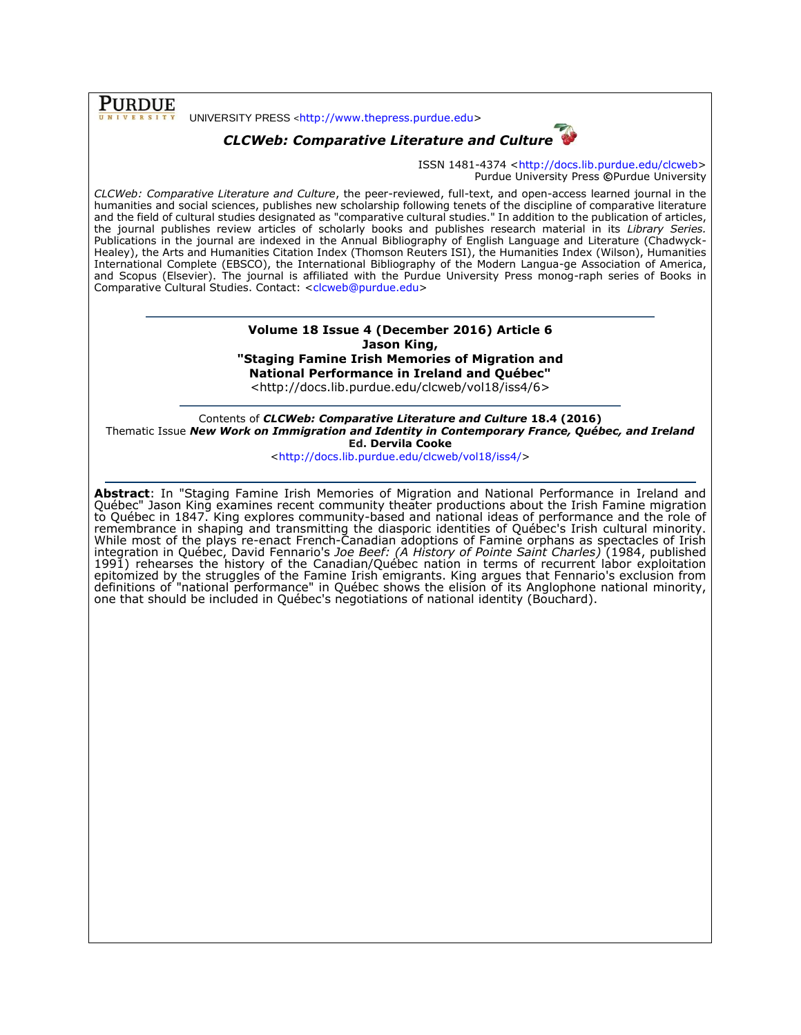**PURDUE** 

UNIVERSITY PRESS <[http://www.thepress.purdue.edu>](http://www.thepress.purdue.edu/)

# *CLCWeb: Comparative Literature and Culture*



ISSN 1481-4374 [<http://docs.lib.purdue.edu/clcweb>](http://docs.lib.purdue.edu/clcweb) Purdue University Press **©**Purdue University

*CLCWeb: Comparative Literature and Culture*, the peer-reviewed, full-text, and open-access learned journal in the humanities and social sciences, publishes new scholarship following tenets of the discipline of comparative literature and the field of cultural studies designated as "comparative cultural studies." In addition to the publication of articles, the journal publishes review articles of scholarly books and publishes research material in its *Library Series.*  Publications in the journal are indexed in the Annual Bibliography of English Language and Literature (Chadwyck-Healey), the Arts and Humanities Citation Index (Thomson Reuters ISI), the Humanities Index (Wilson), Humanities International Complete (EBSCO), the International Bibliography of the Modern Langua-ge Association of America, and Scopus (Elsevier). The journal is affiliated with the Purdue University Press monog-raph series of Books in Comparative Cultural Studies. Contact: [<clcweb@purdue.edu>](mailto:clcweb@purdue.edu)

### **Volume 18 Issue 4 (December 2016) Article 6 Jason King, "Staging Famine Irish Memories of Migration and National Performance in Ireland and Québec"**

<http://docs.lib.purdue.edu/clcweb/vol18/iss4/6>

Contents of *CLCWeb: Comparative Literature and Culture* **18.4 (2016)** Thematic Issue *New Work on Immigration and Identity in Contemporary France, Québec, and Ireland* **Ed. Dervila Cooke**

[<http://docs.lib.purdue.edu/clcweb/vol18/iss4/>](http://docs.lib.purdue.edu/clcweb/vol18/iss4/)

**Abstract**: In "Staging Famine Irish Memories of Migration and National Performance in Ireland and Québec" Jason King examines recent community theater productions about the Irish Famine migration to Québec in 1847. King explores community-based and national ideas of performance and the role of remembrance in shaping and transmitting the diasporic identities of Québec's Irish cultural minority. While most of the plays re-enact French-Canadian adoptions of Famine orphans as spectacles of Irish integration in Québec, David Fennario's *Joe Beef: (A History of Pointe Saint Charles)* (1984, published 1991) rehearses the history of the Canadian/Québec nation in terms of recurrent labor exploitation epitomized by the struggles of the Famine Irish emigrants. King argues that Fennario's exclusion from definitions of "national performance" in Québec shows the elision of its Anglophone national minority, one that should be included in Québec's negotiations of national identity (Bouchard).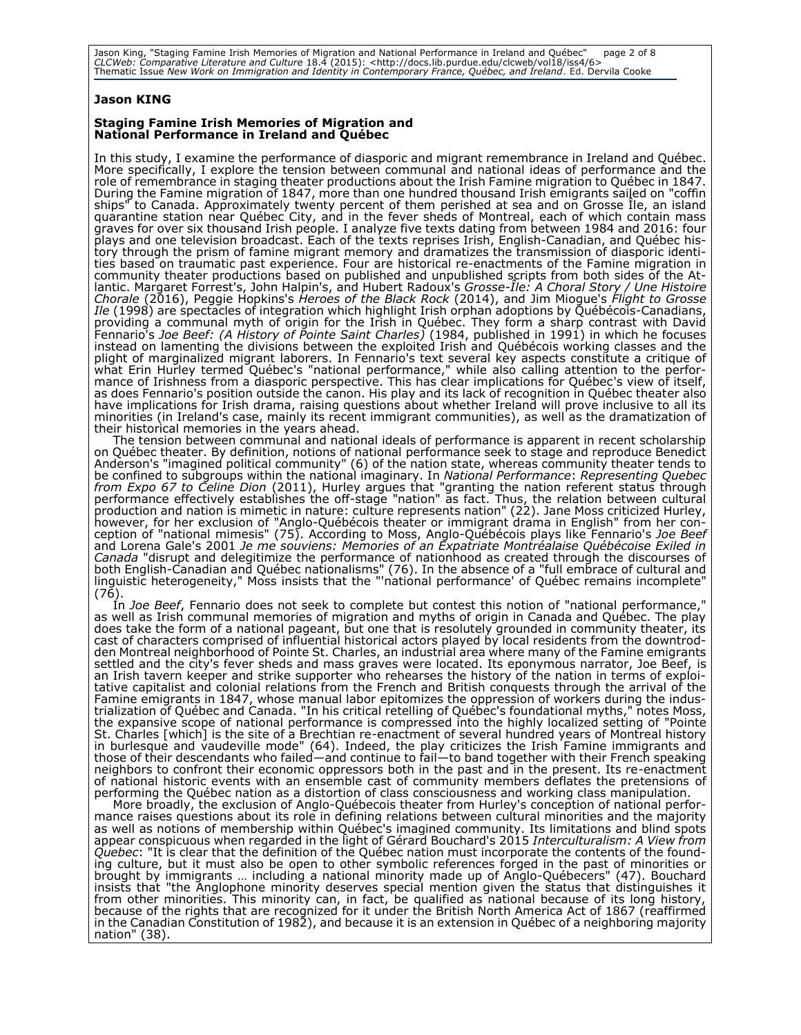Jason King, "Staging Famine Irish Memories of Migration and National Performance in Ireland and Québec" page 2 of 8 CLCWeb: Comparative Literature and Culture 18.4 (2015): <http://docs.lib.purdue.edu/clcweb/vol18/iss4/6><br>Thematic Issue New Work on Immigration and Identity in Contemporary France, Québec, and Ireland. Ed. Dervila Cooke

### **Jason KING**

#### **Staging Famine Irish Memories of Migration and National Performance in Ireland and Québec**

In this study, I examine the performance of diasporic and migrant remembrance in Ireland and Québec. More specifically, I explore the tension between communal and national ideas of performance and the role of remembrance in staging theater productions about the Irish Famine migration to Québec in 1847. During the Famine migration of 1847, more than one hundred thousand Irish emigrants sailed on "coffin ships" to Canada. Approximately twenty percent of them perished at sea and on Grosse Île, an island quarantine station near Québec City, and in the fever sheds of Montreal, each of which contain mass graves for over six thousand Irish people. I analyze five texts dating from between 1984 and 2016: four plays and one television broadcast. Each of the texts reprises Irish, English-Canadian, and Québec history through the prism of famine migrant memory and dramatizes the transmission of diasporic identities based on traumatic past experience. Four are historical re-enactments of the Famine migration in community theater productions based on published and unpublished scripts from both sides of the Atlantic. Margaret Forrest's, John Halpin's, and Hubert Radoux's *Grosse-Île: A Choral Story / Une Histoire Chorale* (2016), Peggie Hopkins's *Heroes of the Black Rock* (2014), and Jim Miogue's *Flight to Grosse Ile* (1998) are spectacles of integration which highlight Irish orphan adoptions by Québécois-Canadians, providing a communal myth of origin for the Irish in Québec. They form a sharp contrast with David Fennario's *Joe Beef: (A History of Pointe Saint Charles)* (1984, published in 1991) in which he focuses instead on lamenting the divisions between the exploited Irish and Québécois working classes and the plight of marginalized migrant laborers. In Fennario's text several key aspects constitute a critique of what Erin Hurley termed Québec's "national performance," while also calling attention to the performance of Irishness from a diasporic perspective. This has clear implications for Québec's view of itself, as does Fennario's position outside the canon. His play and its lack of recognition in Québec theater also have implications for Irish drama, raising questions about whether Ireland will prove inclusive to all its minorities (in Ireland's case, mainly its recent immigrant communities), as well as the dramatization of their historical memories in the years ahead.

The tension between communal and national ideals of performance is apparent in recent scholarship on Québec theater. By definition, notions of national performance seek to stage and reproduce Benedict Anderson's "imagined political community" (6) of the nation state, whereas community theater tends to be confined to subgroups within the national imaginary. In *National Performance*: *Representing Quebec from Expo 67 to Celine Dion* (2011), Hurley argues that "granting the nation referent status through performance effectively establishes the off-stage "nation" as fact. Thus, the relation between cultural production and nation is mimetic in nature: culture represents nation" (22). Jane Moss criticized Hurley, however, for her exclusion of "Anglo-Québécois theater or immigrant drama in English" from her conception of "national mimesis" (75). According to Moss, Anglo-Québécois plays like Fennario's *Joe Beef* and Lorena Gale's 2001 *Je me souviens: Memories of an Expatriate Montréalaise Québécoise Exiled in Canada* "disrupt and delegitimize the performance of nationhood as created through the discourses of both English-Canadian and Québec nationalisms" (76). In the absence of a "full embrace of cultural and linguistic heterogeneity," Moss insists that the "'national performance' of Québec remains incomplete" (76).

In *Joe Beef*, Fennario does not seek to complete but contest this notion of "national performance," as well as Irish communal memories of migration and myths of origin in Canada and Québec. The play does take the form of a national pageant, but one that is resolutely grounded in community theater, its cast of characters comprised of influential historical actors played by local residents from the downtrodden Montreal neighborhood of Pointe St. Charles, an industrial area where many of the Famine emigrants settled and the city's fever sheds and mass graves were located. Its eponymous narrator, Joe Beef, is an Irish tavern keeper and strike supporter who rehearses the history of the nation in terms of exploitative capitalist and colonial relations from the French and British conquests through the arrival of the Famine emigrants in 1847, whose manual labor epitomizes the oppression of workers during the industrialization of Québec and Canada. "In his critical retelling of Québec's foundational myths," notes Moss, the expansive scope of national performance is compressed into the highly localized setting of "Pointe St. Charles [which] is the site of a Brechtian re-enactment of several hundred years of Montreal history in burlesque and vaudeville mode" (64). Indeed, the play criticizes the Irish Famine immigrants and those of their descendants who failed—and continue to fail—to band together with their French speaking neighbors to confront their economic oppressors both in the past and in the present. Its re-enactment of national historic events with an ensemble cast of community members deflates the pretensions of performing the Québec nation as a distortion of class consciousness and working class manipulation.

More broadly, the exclusion of Anglo-Québecois theater from Hurley's conception of national performance raises questions about its role in defining relations between cultural minorities and the majority as well as notions of membership within Québec's imagined community. Its limitations and blind spots appear conspicuous when regarded in the light of Gérard Bouchard's 2015 *Interculturalism: A View from Quebec*: "It is clear that the definition of the Québec nation must incorporate the contents of the founding culture, but it must also be open to other symbolic references forged in the past of minorities or brought by immigrants … including a national minority made up of Anglo-Québecers" (47). Bouchard insists that "the Anglophone minority deserves special mention given the status that distinguishes it from other minorities. This minority can, in fact, be qualified as national because of its long history, because of the rights that are recognized for it under the British North America Act of 1867 (reaffirmed in the Canadian Constitution of 1982), and because it is an extension in Québec of a neighboring majority nation" (38).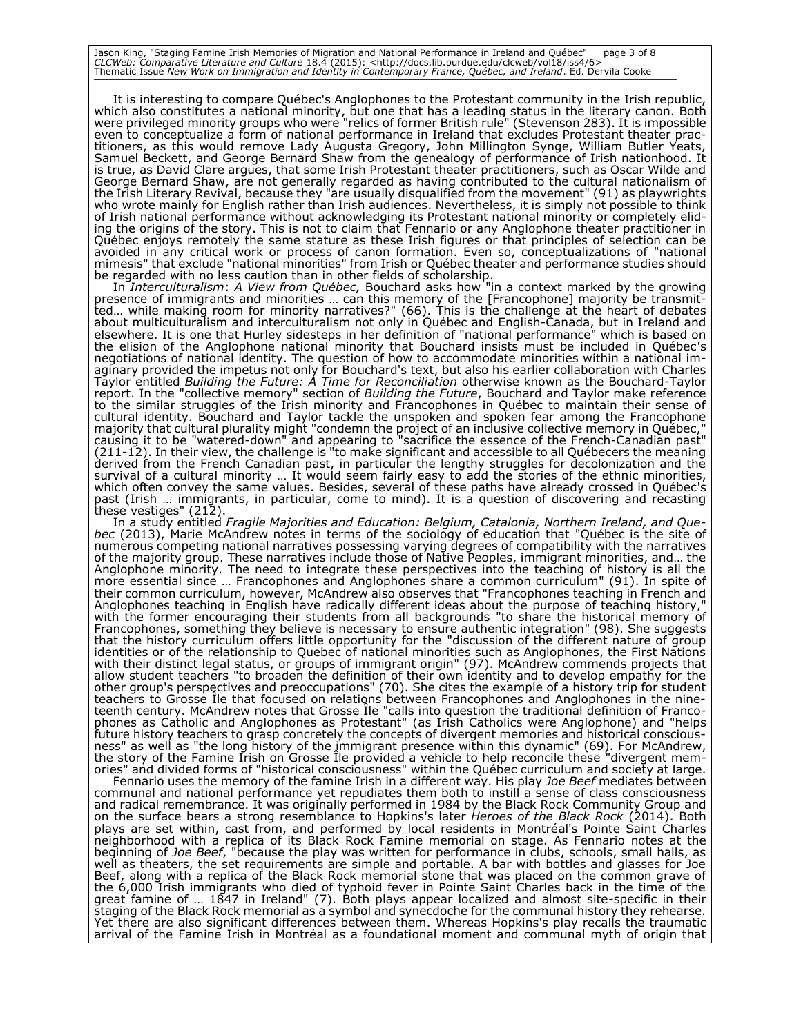Jason King, "Staging Famine Irish Memories of Migration and National Performance in Ireland and Québec" page 3 of 8 CLCWeb: Comparative Literature and Culture 18.4 (2015): <http://docs.lib.purdue.edu/clcweb/vol18/iss4/6><br>Thematic Issue New Work on Immigration and Identity in Contemporary France, Québec, and Ireland. Ed. Dervila Cooke

It is interesting to compare Québec's Anglophones to the Protestant community in the Irish republic, which also constitutes a national minority, but one that has a leading status in the literary canon. Both were privileged minority groups who were "relics of former British rule" (Stevenson 283). It is impossible even to conceptualize a form of national performance in Ireland that excludes Protestant theater practitioners, as this would remove Lady Augusta Gregory, John Millington Synge, William Butler Yeats, Samuel Beckett, and George Bernard Shaw from the genealogy of performance of Irish nationhood. It is true, as David Clare argues, that some Irish Protestant theater practitioners, such as Oscar Wilde and George Bernard Shaw, are not generally regarded as having contributed to the cultural nationalism of the Irish Literary Revival, because they "are usually disqualified from the movement" (91) as playwrights who wrote mainly for English rather than Irish audiences. Nevertheless, it is simply not possible to think of Irish national performance without acknowledging its Protestant national minority or completely eliding the origins of the story. This is not to claim that Fennario or any Anglophone theater practitioner in Québec enjoys remotely the same stature as these Irish figures or that principles of selection can be avoided in any critical work or process of canon formation. Even so, conceptualizations of "national mimesis" that exclude "national minorities" from Irish or Québec theater and performance studies should be regarded with no less caution than in other fields of scholarship.

In *Interculturalism*: *A View from Québec,* Bouchard asks how "in a context marked by the growing presence of immigrants and minorities … can this memory of the [Francophone] majority be transmitted… while making room for minority narratives?" (66). This is the challenge at the heart of debates about multiculturalism and interculturalism not only in Québec and English-Canada, but in Ireland and elsewhere. It is one that Hurley sidesteps in her definition of "national performance" which is based on the elision of the Anglophone national minority that Bouchard insists must be included in Québec's negotiations of national identity. The question of how to accommodate minorities within a national imaginary provided the impetus not only for Bouchard's text, but also his earlier collaboration with Charles Taylor entitled *Building the Future: A Time for Reconciliation* otherwise known as the Bouchard-Taylor report. In the "collective memory" section of *Building the Future*, Bouchard and Taylor make reference to the similar struggles of the Irish minority and Francophones in Québec to maintain their sense of cultural identity. Bouchard and Taylor tackle the unspoken and spoken fear among the Francophone majority that cultural plurality might "condemn the project of an inclusive collective memory in Québec," causing it to be "watered-down" and appearing to "sacrifice the essence of the French-Canadian past" (211-12). In their view, the challenge is "to make significant and accessible to all Québecers the meaning derived from the French Canadian past, in particular the lengthy struggles for decolonization and the survival of a cultural minority … It would seem fairly easy to add the stories of the ethnic minorities, which often convey the same values. Besides, several of these paths have already crossed in Québec's past (Irish … immigrants, in particular, come to mind). It is a question of discovering and recasting these vestiges" (212).

In a study entitled *Fragile Majorities and Education: Belgium, Catalonia, Northern Ireland, and Quebec* (2013), Marie McAndrew notes in terms of the sociology of education that "Québec is the site of numerous competing national narratives possessing varying degrees of compatibility with the narratives of the majority group. These narratives include those of Native Peoples, immigrant minorities, and… the Anglophone minority. The need to integrate these perspectives into the teaching of history is all the more essential since … Francophones and Anglophones share a common curriculum" (91). In spite of their common curriculum, however, McAndrew also observes that "Francophones teaching in French and Anglophones teaching in English have radically different ideas about the purpose of teaching history, with the former encouraging their students from all backgrounds "to share the historical memory of Francophones, something they believe is necessary to ensure authentic integration" (98). She suggests that the history curriculum offers little opportunity for the "discussion of the different nature of group identities or of the relationship to Quebec of national minorities such as Anglophones, the First Nations with their distinct legal status, or groups of immigrant origin" (97). McAndrew commends projects that allow student teachers "to broaden the definition of their own identity and to develop empathy for the other group's perspectives and preoccupations" (70). She cites the example of a history trip for student teachers to Grosse Île that focused on relations between Francophones and Anglophones in the nineteenth century. McAndrew notes that Grosse Île "calls into question the traditional definition of Francophones as Catholic and Anglophones as Protestant" (as Irish Catholics were Anglophone) and "helps future history teachers to grasp concretely the concepts of divergent memories and historical consciousness" as well as "the long history of the immigrant presence within this dynamic" (69). For McAndrew, the story of the Famine Irish on Grosse Île provided a vehicle to help reconcile these "divergent memories" and divided forms of "historical consciousness" within the Québec curriculum and society at large.

Fennario uses the memory of the famine Irish in a different way. His play *Joe Beef* mediates between communal and national performance yet repudiates them both to instill a sense of class consciousness and radical remembrance. It was originally performed in 1984 by the Black Rock Community Group and on the surface bears a strong resemblance to Hopkins's later *Heroes of the Black Rock* (2014). Both plays are set within, cast from, and performed by local residents in Montréal's Pointe Saint Charles neighborhood with a replica of its Black Rock Famine memorial on stage. As Fennario notes at the beginning of *Joe Beef*, "because the play was written for performance in clubs, schools, small halls, as well as theaters, the set requirements are simple and portable. A bar with bottles and glasses for Joe Beef, along with a replica of the Black Rock memorial stone that was placed on the common grave of the 6,000 Irish immigrants who died of typhoid fever in Pointe Saint Charles back in the time of the great famine of … 1847 in Ireland" (7). Both plays appear localized and almost site-specific in their staging of the Black Rock memorial as a symbol and synecdoche for the communal history they rehearse. Yet there are also significant differences between them. Whereas Hopkins's play recalls the traumatic arrival of the Famine Irish in Montréal as a foundational moment and communal myth of origin that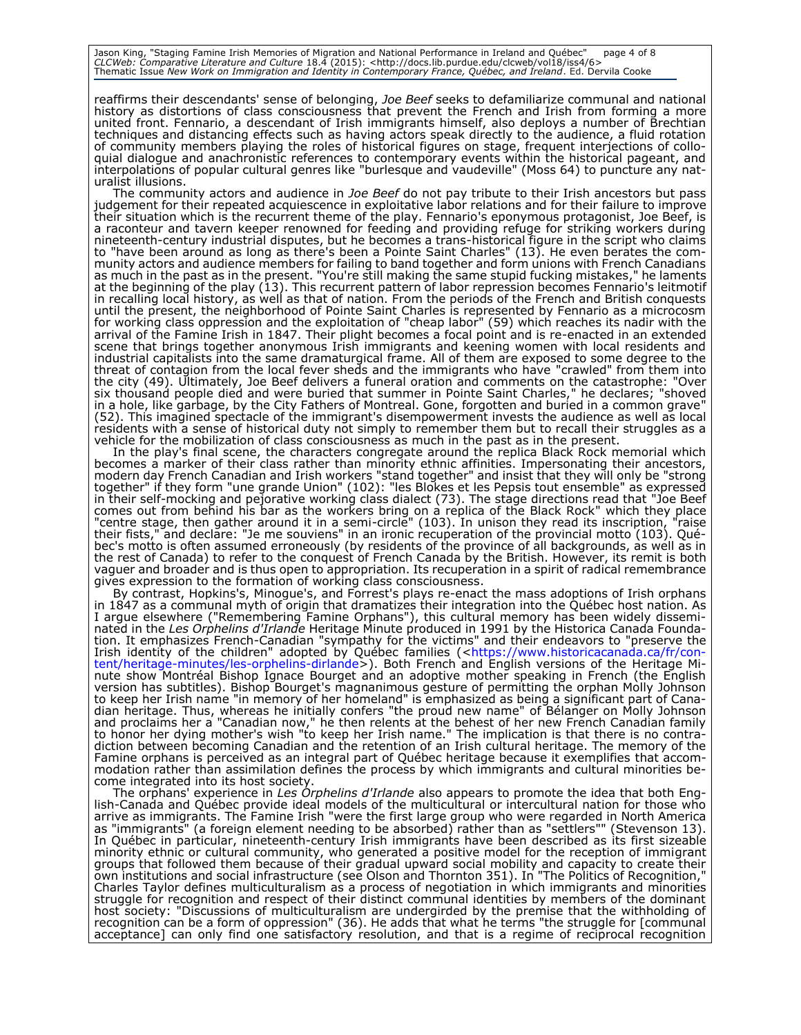Jason King, "Staging Famine Irish Memories of Migration and National Performance in Ireland and Québec" page 4 of 8 CLCWeb: Comparative Literature and Culture 18.4 (2015): <http://docs.lib.purdue.edu/clcweb/vol18/iss4/6><br>Thematic Issue New Work on Immigration and Identity in Contemporary France, Québec, and Ireland. Ed. Dervila Cooke

reaffirms their descendants' sense of belonging, *Joe Beef* seeks to defamiliarize communal and national history as distortions of class consciousness that prevent the French and Irish from forming a more united front. Fennario, a descendant of Irish immigrants himself, also deploys a number of Brechtian techniques and distancing effects such as having actors speak directly to the audience, a fluid rotation of community members playing the roles of historical figures on stage, frequent interjections of colloquial dialogue and anachronistic references to contemporary events within the historical pageant, and interpolations of popular cultural genres like "burlesque and vaudeville" (Moss 64) to puncture any naturalist illusions.

The community actors and audience in *Joe Beef* do not pay tribute to their Irish ancestors but pass judgement for their repeated acquiescence in exploitative labor relations and for their failure to improve their situation which is the recurrent theme of the play. Fennario's eponymous protagonist, Joe Beef, is a raconteur and tavern keeper renowned for feeding and providing refuge for striking workers during nineteenth-century industrial disputes, but he becomes a trans-historical figure in the script who claims to "have been around as long as there's been a Pointe Saint Charles" (13). He even berates the community actors and audience members for failing to band together and form unions with French Canadians as much in the past as in the present. "You're still making the same stupid fucking mistakes," he laments at the beginning of the play (13). This recurrent pattern of labor repression becomes Fennario's leitmotif in recalling local history, as well as that of nation. From the periods of the French and British conquests until the present, the neighborhood of Pointe Saint Charles is represented by Fennario as a microcosm for working class oppression and the exploitation of "cheap labor" (59) which reaches its nadir with the arrival of the Famine Irish in 1847. Their plight becomes a focal point and is re-enacted in an extended scene that brings together anonymous Irish immigrants and keening women with local residents and industrial capitalists into the same dramaturgical frame. All of them are exposed to some degree to the threat of contagion from the local fever sheds and the immigrants who have "crawled" from them into the city (49). Ultimately, Joe Beef delivers a funeral oration and comments on the catastrophe: "Over six thousand people died and were buried that summer in Pointe Saint Charles," he declares; "shoved in a hole, like garbage, by the City Fathers of Montreal. Gone, forgotten and buried in a common grave" (52). This imagined spectacle of the immigrant's disempowerment invests the audience as well as local residents with a sense of historical duty not simply to remember them but to recall their struggles as a vehicle for the mobilization of class consciousness as much in the past as in the present.

In the play's final scene, the characters congregate around the replica Black Rock memorial which becomes a marker of their class rather than minority ethnic affinities. Impersonating their ancestors, modern day French Canadian and Irish workers "stand together" and insist that they will only be "strong together" if they form "une grande Union" (102): "les Blokes et les Pepsis tout ensemble" as expressed in their self-mocking and pejorative working class dialect (73). The stage directions read that "Joe Beef comes out from behind his bar as the workers bring on a replica of the Black Rock" which they place "centre stage, then gather around it in a semi-circle" (103). In unison they read its inscription, "raise their fists," and declare: "Je me souviens" in an ironic recuperation of the provincial motto (103). Québec's motto is often assumed erroneously (by residents of the province of all backgrounds, as well as in the rest of Canada) to refer to the conquest of French Canada by the British. However, its remit is both vaguer and broader and is thus open to appropriation. Its recuperation in a spirit of radical remembrance gives expression to the formation of working class consciousness.

By contrast, Hopkins's, Minogue's, and Forrest's plays re-enact the mass adoptions of Irish orphans in 1847 as a communal myth of origin that dramatizes their integration into the Québec host nation. As I argue elsewhere ("Remembering Famine Orphans"), this cultural memory has been widely disseminated in the *Les Orphelins d'Irlande* Heritage Minute produced in 1991 by the Historica Canada Foundation. It emphasizes French-Canadian "sympathy for the victims" and their endeavors to "preserve the Irish identity of the children" adopted by Québec families ([<https://www.historicacanada.ca/fr/con](https://www.historicacanada.ca/fr/content/heritage-minutes/les-orphelins-dirlande)[tent/heritage-minutes/les-orphelins-dirlande>](https://www.historicacanada.ca/fr/content/heritage-minutes/les-orphelins-dirlande)). Both French and English versions of the Heritage Minute show Montréal Bishop Ignace Bourget and an adoptive mother speaking in French (the English version has subtitles). Bishop Bourget's magnanimous gesture of permitting the orphan Molly Johnson to keep her Irish name "in memory of her homeland" is emphasized as being a significant part of Canadian heritage. Thus, whereas he initially confers "the proud new name" of Bélanger on Molly Johnson and proclaims her a "Canadian now," he then relents at the behest of her new French Canadian family to honor her dying mother's wish "to keep her Irish name." The implication is that there is no contradiction between becoming Canadian and the retention of an Irish cultural heritage. The memory of the Famine orphans is perceived as an integral part of Québec heritage because it exemplifies that accommodation rather than assimilation defines the process by which immigrants and cultural minorities become integrated into its host society.

The orphans' experience in *Les Orphelins d'Irlande* also appears to promote the idea that both English-Canada and Québec provide ideal models of the multicultural or intercultural nation for those who arrive as immigrants. The Famine Irish "were the first large group who were regarded in North America as "immigrants" (a foreign element needing to be absorbed) rather than as "settlers"" (Stevenson 13). In Québec in particular, nineteenth-century Irish immigrants have been described as its first sizeable minority ethnic or cultural community, who generated a positive model for the reception of immigrant groups that followed them because of their gradual upward social mobility and capacity to create their own institutions and social infrastructure (see Olson and Thornton 351). In "The Politics of Recognition," Charles Taylor defines multiculturalism as a process of negotiation in which immigrants and minorities struggle for recognition and respect of their distinct communal identities by members of the dominant host society: "Discussions of multiculturalism are undergirded by the premise that the withholding of recognition can be a form of oppression" (36). He adds that what he terms "the struggle for [communal acceptance] can only find one satisfactory resolution, and that is a regime of reciprocal recognition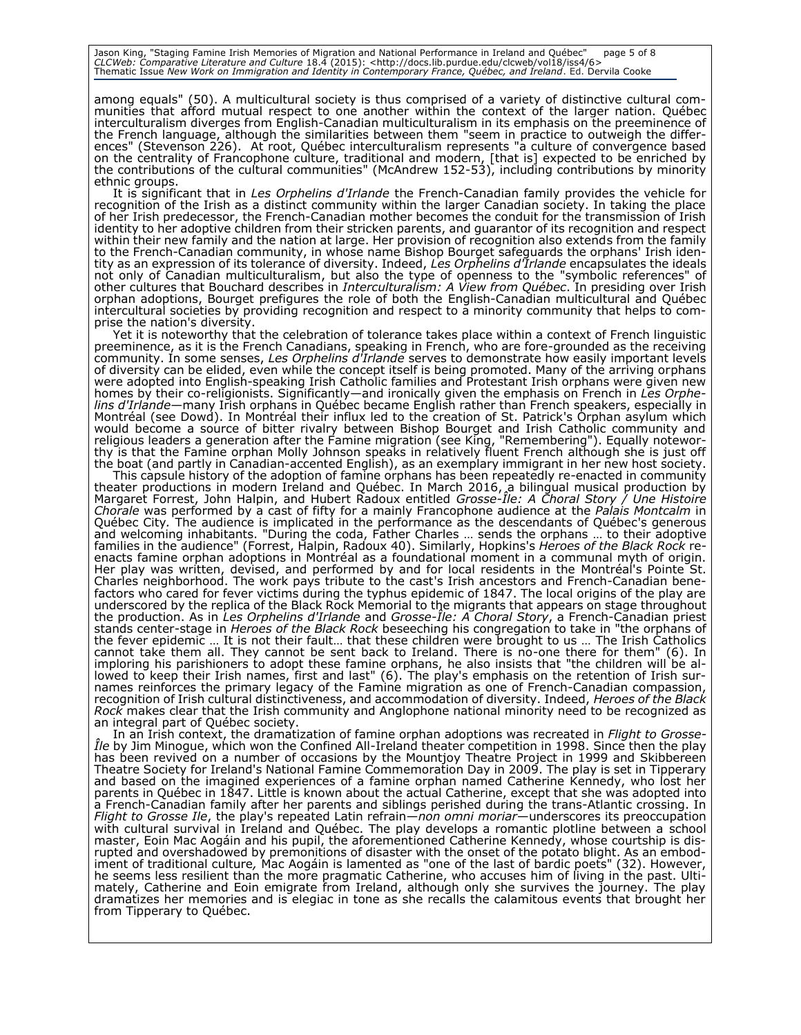Jason King, "Staging Famine Irish Memories of Migration and National Performance in Ireland and Québec" page 5 of 8 CLCWeb: Comparative Literature and Culture 18.4 (2015): <http://docs.lib.purdue.edu/clcweb/vol18/iss4/6><br>Thematic Issue New Work on Immigration and Identity in Contemporary France, Québec, and Ireland. Ed. Dervila Cooke

among equals" (50). A multicultural society is thus comprised of a variety of distinctive cultural communities that afford mutual respect to one another within the context of the larger nation. Québec interculturalism diverges from English-Canadian multiculturalism in its emphasis on the preeminence of the French language, although the similarities between them "seem in practice to outweigh the differences" (Stevenson 226). At root, Québec interculturalism represents "a culture of convergence based on the centrality of Francophone culture, traditional and modern, [that is] expected to be enriched by the contributions of the cultural communities" (McAndrew 152-53), including contributions by minority ethnic groups.

It is significant that in *Les Orphelins d'Irlande* the French-Canadian family provides the vehicle for recognition of the Irish as a distinct community within the larger Canadian society. In taking the place of her Irish predecessor, the French-Canadian mother becomes the conduit for the transmission of Irish identity to her adoptive children from their stricken parents, and guarantor of its recognition and respect within their new family and the nation at large. Her provision of recognition also extends from the family to the French-Canadian community, in whose name Bishop Bourget safeguards the orphans' Irish identity as an expression of its tolerance of diversity. Indeed, *Les Orphelins d'Irlande* encapsulates the ideals not only of Canadian multiculturalism, but also the type of openness to the "symbolic references" of other cultures that Bouchard describes in *Interculturalism: A View from Québec*. In presiding over Irish orphan adoptions, Bourget prefigures the role of both the English-Canadian multicultural and Québec intercultural societies by providing recognition and respect to a minority community that helps to comprise the nation's diversity.

Yet it is noteworthy that the celebration of tolerance takes place within a context of French linguistic preeminence, as it is the French Canadians, speaking in French, who are fore-grounded as the receiving community. In some senses, Les Orphelins d'Irlande serves to demonstrate how easily important levels of diversity can be elided, even while the concept itself is being promoted. Many of the arriving orphans were adopted into English-speaking Irish Catholic families and Protestant Irish orphans were given new homes by their co-religionists. Significantly—and ironically given the emphasis on French in *Les Orphelins d'Irlande*—many Irish orphans in Québec became English rather than French speakers, especially in Montréal (see Dowd). In Montréal their influx led to the creation of St. Patrick's Orphan asylum which would become a source of bitter rivalry between Bishop Bourget and Irish Catholic community and religious leaders a generation after the Famine migration (see King, "Remembering"). Equally noteworthy is that the Famine orphan Molly Johnson speaks in relatively fluent French although she is just off the boat (and partly in Canadian-accented English), as an exemplary immigrant in her new host society.

This capsule history of the adoption of famine orphans has been repeatedly re-enacted in community theater productions in modern Ireland and Québec. In March 2016, a bilingual musical production by Margaret Forrest, John Halpin, and Hubert Radoux entitled *Grosse-Île: A Choral Story / Une Histoire Chorale* was performed by a cast of fifty for a mainly Francophone audience at the *Palais Montcalm* in Québec City*.* The audience is implicated in the performance as the descendants of Québec's generous and welcoming inhabitants. "During the coda, Father Charles … sends the orphans … to their adoptive families in the audience" (Forrest, Halpin, Radoux 40). Similarly, Hopkins's *Heroes of the Black Rock* reenacts famine orphan adoptions in Montréal as a foundational moment in a communal myth of origin. Her play was written, devised, and performed by and for local residents in the Montréal's Pointe St. Charles neighborhood. The work pays tribute to the cast's Irish ancestors and French-Canadian benefactors who cared for fever victims during the typhus epidemic of 1847. The local origins of the play are underscored by the replica of the Black Rock Memorial to the migrants that appears on stage throughout the production. As in *Les Orphelins d'Irlande* and *Grosse-Île: A Choral Story*, a French-Canadian priest stands center-stage in *Heroes of the Black Rock* beseeching his congregation to take in "the orphans of the fever epidemic … It is not their fault… that these children were brought to us … The Irish Catholics cannot take them all. They cannot be sent back to Ireland. There is no-one there for them" (6). In imploring his parishioners to adopt these famine orphans, he also insists that "the children will be allowed to keep their Irish names, first and last" (6). The play's emphasis on the retention of Irish surnames reinforces the primary legacy of the Famine migration as one of French-Canadian compassion, recognition of Irish cultural distinctiveness, and accommodation of diversity. Indeed, *Heroes of the Black Rock* makes clear that the Irish community and Anglophone national minority need to be recognized as an integral part of Québec society.

In an Irish context, the dramatization of famine orphan adoptions was recreated in *Flight to Grosse-Île* by Jim Minogue, which won the Confined All-Ireland theater competition in 1998. Since then the play has been revived on a number of occasions by the Mountjoy Theatre Project in 1999 and Skibbereen Theatre Society for Ireland's National Famine Commemoration Day in 2009. The play is set in Tipperary and based on the imagined experiences of a famine orphan named Catherine Kennedy, who lost her parents in Québec in 1847. Little is known about the actual Catherine, except that she was adopted into a French-Canadian family after her parents and siblings perished during the trans-Atlantic crossing. In *Flight to Grosse Ile*, the play's repeated Latin refrain—*non omni moriar*—underscores its preoccupation with cultural survival in Ireland and Québec. The play develops a romantic plotline between a school master, Eoin Mac Aogáin and his pupil, the aforementioned Catherine Kennedy, whose courtship is disrupted and overshadowed by premonitions of disaster with the onset of the potato blight. As an embodiment of traditional culture*,* Mac Aogáin is lamented as "one of the last of bardic poets" (32). However, he seems less resilient than the more pragmatic Catherine, who accuses him of living in the past. Ultimately, Catherine and Eoin emigrate from Ireland, although only she survives the journey. The play dramatizes her memories and is elegiac in tone as she recalls the calamitous events that brought her from Tipperary to Québec.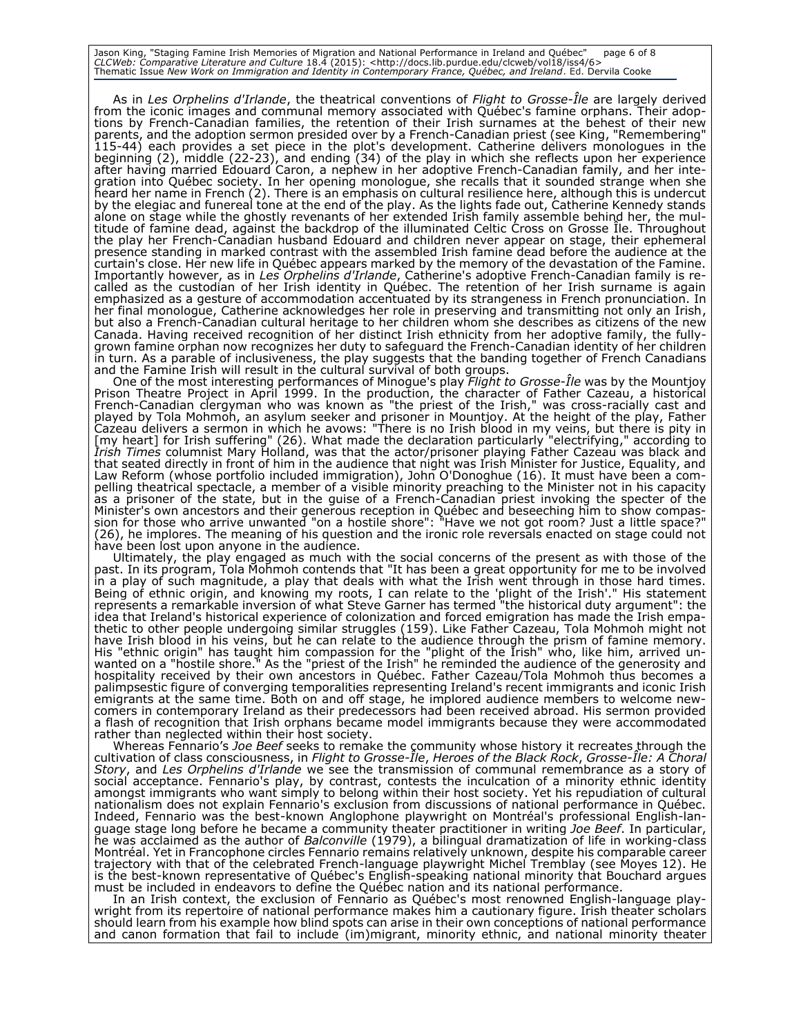Jason King, "Staging Famine Irish Memories of Migration and National Performance in Ireland and Québec" page 6 of 8 CLCWeb: Comparative Literature and Culture 18.4 (2015): <http://docs.lib.purdue.edu/clcweb/vol18/iss4/6><br>Thematic Issue New Work on Immigration and Identity in Contemporary France, Québec, and Ireland. Ed. Dervila Cooke

As in *Les Orphelins d'Irlande*, the theatrical conventions of *Flight to Grosse-Île* are largely derived from the iconic images and communal memory associated with Québec's famine orphans. Their adoptions by French-Canadian families, the retention of their Irish surnames at the behest of their new parents, and the adoption sermon presided over by a French-Canadian priest (see King, "Remembering" 115-44) each provides a set piece in the plot's development. Catherine delivers monologues in the beginning (2), middle (22-23), and ending (34) of the play in which she reflects upon her experience after having married Edouard Caron, a nephew in her adoptive French-Canadian family, and her integration into Québec society. In her opening monologue, she recalls that it sounded strange when she heard her name in French (2). There is an emphasis on cultural resilience here, although this is undercut by the elegiac and funereal tone at the end of the play. As the lights fade out, Catherine Kennedy stands alone on stage while the ghostly revenants of her extended Irish family assemble behind her, the multitude of famine dead, against the backdrop of the illuminated Celtic Cross on Grosse Île. Throughout the play her French-Canadian husband Edouard and children never appear on stage, their ephemeral presence standing in marked contrast with the assembled Irish famine dead before the audience at the curtain's close. Her new life in Québec appears marked by the memory of the devastation of the Famine. Importantly however, as in *Les Orphelins d'Irlande*, Catherine's adoptive French-Canadian family is recalled as the custodian of her Irish identity in Québec. The retention of her Irish surname is again emphasized as a gesture of accommodation accentuated by its strangeness in French pronunciation. In her final monologue, Catherine acknowledges her role in preserving and transmitting not only an Irish, but also a French-Canadian cultural heritage to her children whom she describes as citizens of the new Canada. Having received recognition of her distinct Irish ethnicity from her adoptive family, the fullygrown famine orphan now recognizes her duty to safeguard the French-Canadian identity of her children in turn. As a parable of inclusiveness, the play suggests that the banding together of French Canadians and the Famine Irish will result in the cultural survival of both groups.

One of the most interesting performances of Minogue's play *Flight to Grosse-Île* was by the Mountjoy Prison Theatre Project in April 1999. In the production, the character of Father Cazeau, a historical French-Canadian clergyman who was known as "the priest of the Irish," was cross-racially cast and played by Tola Mohmoh, an asylum seeker and prisoner in Mountjoy. At the height of the play, Father Cazeau delivers a sermon in which he avows: "There is no Irish blood in my veins, but there is pity in [my heart] for Irish suffering" (26). What made the declaration particularly "electrifying," according to *Irish Times* columnist Mary Holland, was that the actor/prisoner playing Father Cazeau was black and that seated directly in front of him in the audience that night was Irish Minister for Justice, Equality, and Law Reform (whose portfolio included immigration), John O'Donoghue (16). It must have been a compelling theatrical spectacle, a member of a visible minority preaching to the Minister not in his capacity as a prisoner of the state, but in the guise of a French-Canadian priest invoking the specter of the Minister's own ancestors and their generous reception in Québec and beseeching him to show compassion for those who arrive unwanted "on a hostile shore": "Have we not got room? Just a little space?" (26), he implores. The meaning of his question and the ironic role reversals enacted on stage could not have been lost upon anyone in the audience.

Ultimately, the play engaged as much with the social concerns of the present as with those of the past. In its program, Tola Mohmoh contends that "It has been a great opportunity for me to be involved in a play of such magnitude, a play that deals with what the Irish went through in those hard times. Being of ethnic origin, and knowing my roots, I can relate to the 'plight of the Irish'." His statement represents a remarkable inversion of what Steve Garner has termed "the historical duty argument": the idea that Ireland's historical experience of colonization and forced emigration has made the Irish empathetic to other people undergoing similar struggles (159). Like Father Cazeau, Tola Mohmoh might not have Irish blood in his veins, but he can relate to the audience through the prism of famine memory. His "ethnic origin" has taught him compassion for the "plight of the Irish" who, like him, arrived unwanted on a "hostile shore." As the "priest of the Irish" he reminded the audience of the generosity and hospitality received by their own ancestors in Québec. Father Cazeau/Tola Mohmoh thus becomes a palimpsestic figure of converging temporalities representing Ireland's recent immigrants and iconic Irish emigrants at the same time. Both on and off stage, he implored audience members to welcome newcomers in contemporary Ireland as their predecessors had been received abroad. His sermon provided a flash of recognition that Irish orphans became model immigrants because they were accommodated rather than neglected within their host society.

Whereas Fennario's *Joe Beef* seeks to remake the community whose history it recreates through the cultivation of class consciousness, in *Flight to Grosse-Île*, *Heroes of the Black Rock*, *Grosse-Île: A Choral Story*, and *Les Orphelins d'Irlande* we see the transmission of communal remembrance as a story of social acceptance. Fennario's play, by contrast, contests the inculcation of a minority ethnic identity amongst immigrants who want simply to belong within their host society. Yet his repudiation of cultural nationalism does not explain Fennario's exclusion from discussions of national performance in Québec. Indeed, Fennario was the best-known Anglophone playwright on Montréal's professional English-language stage long before he became a community theater practitioner in writing *Joe Beef*. In particular, he was acclaimed as the author of *Balconville* (1979), a bilingual dramatization of life in working-class Montréal. Yet in Francophone circles Fennario remains relatively unknown, despite his comparable career trajectory with that of the celebrated French-language playwright Michel Tremblay (see Moyes 12). He is the best-known representative of Québec's English-speaking national minority that Bouchard argues must be included in endeavors to define the Québec nation and its national performance.

In an Irish context, the exclusion of Fennario as Québec's most renowned English-language playwright from its repertoire of national performance makes him a cautionary figure. Irish theater scholars should learn from his example how blind spots can arise in their own conceptions of national performance and canon formation that fail to include (im)migrant, minority ethnic, and national minority theater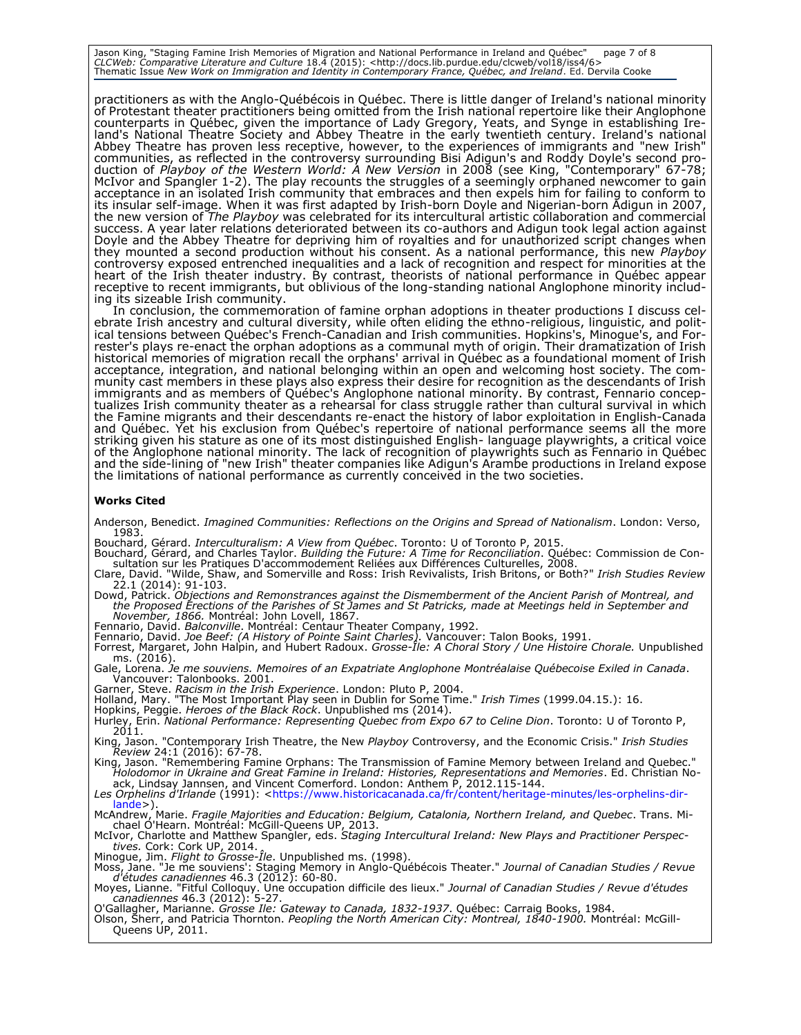Jason King, "Staging Famine Irish Memories of Migration and National Performance in Ireland and Québec" page 7 of 8 CLCWeb: Comparative Literature and Culture 18.4 (2015): <http://docs.lib.purdue.edu/clcweb/vol18/iss4/6><br>Thematic Issue New Work on Immigration and Identity in Contemporary France, Québec, and Ireland. Ed. Dervila Cooke

practitioners as with the Anglo-Québécois in Québec. There is little danger of Ireland's national minority of Protestant theater practitioners being omitted from the Irish national repertoire like their Anglophone counterparts in Québec, given the importance of Lady Gregory, Yeats, and Synge in establishing Ireland's National Theatre Society and Abbey Theatre in the early twentieth century. Ireland's national Abbey Theatre has proven less receptive, however, to the experiences of immigrants and "new Irish" communities, as reflected in the controversy surrounding Bisi Adigun's and Roddy Doyle's second production of *Playboy of the Western World: A New Version* in 2008 (see King, "Contemporary" 67-78; McIvor and Spangler 1-2). The play recounts the struggles of a seemingly orphaned newcomer to gain acceptance in an isolated Irish community that embraces and then expels him for failing to conform to its insular self-image. When it was first adapted by Irish-born Doyle and Nigerian-born Adigun in 2007, the new version of *The Playboy* was celebrated for its intercultural artistic collaboration and commercial success. A year later relations deteriorated between its co-authors and Adigun took legal action against Doyle and the Abbey Theatre for depriving him of royalties and for unauthorized script changes when they mounted a second production without his consent. As a national performance, this new *Playboy* controversy exposed entrenched inequalities and a lack of recognition and respect for minorities at the heart of the Irish theater industry. By contrast, theorists of national performance in Québec appear receptive to recent immigrants, but oblivious of the long-standing national Anglophone minority including its sizeable Irish community.

In conclusion, the commemoration of famine orphan adoptions in theater productions I discuss celebrate Irish ancestry and cultural diversity, while often eliding the ethno-religious, linguistic, and political tensions between Québec's French-Canadian and Irish communities. Hopkins's, Minogue's, and Forrester's plays re-enact the orphan adoptions as a communal myth of origin. Their dramatization of Irish historical memories of migration recall the orphans' arrival in Québec as a foundational moment of Irish acceptance, integration, and national belonging within an open and welcoming host society. The community cast members in these plays also express their desire for recognition as the descendants of Irish immigrants and as members of Québec's Anglophone national minority. By contrast, Fennario conceptualizes Irish community theater as a rehearsal for class struggle rather than cultural survival in which the Famine migrants and their descendants re-enact the history of labor exploitation in English-Canada and Québec. Yet his exclusion from Québec's repertoire of national performance seems all the more striking given his stature as one of its most distinguished English- language playwrights, a critical voice of the Anglophone national minority. The lack of recognition of playwrights such as Fennario in Québec and the side-lining of "new Irish" theater companies like Adigun's Arambe productions in Ireland expose the limitations of national performance as currently conceived in the two societies.

#### **Works Cited**

- Anderson, Benedict. *Imagined Communities: Reflections on the Origins and Spread of Nationalism*. London: Verso, 1983.
- Bouchard, Gérard. *Interculturalism: A View from Québec*. Toronto: U of Toronto P, 2015.
- Bouchard, Gérard, and Charles Taylor. *Building the Future: A Time for Reconciliation*. Québec: Commission de Consultation sur les Pratiques D'accommodement Reliées aux Différences Culturelles, 2008.
- Clare, David. "Wilde, Shaw, and Somerville and Ross: Irish Revivalists, Irish Britons, or Both?" *Irish Studies Review* 22.1 (2014): 91-103.
- Dowd, Patrick. Objections and Remonstrances against the Dismemberment of the Ancient Parish of Montreal, and<br>the Proposed Erections of the Parishes of St James and St Patricks, made at Meetings held in September and *November, 1866.* Montréal: John Lovell, 1867.
- 
- Fennario, David. *Balconville*. Montréal: Centaur Theater Company, 1992. Fennario, David. *Joe Beef: (A History of Pointe Saint Charles).* Vancouver: Talon Books, 1991.
- Forrest, Margaret, John Halpin, and Hubert Radoux. *Grosse-Île: A Choral Story / Une Histoire Chorale.* Unpublished ms. (2016).
- Gale, Lorena. *Je me souviens. Memoires of an Expatriate Anglophone Montréalaise Québecoise Exiled in Canada*. Vancouver: Talonbooks. 2001.
- 
- Garner, Steve. *Racism in the Irish Experience*. London: Pluto P, 2004. Holland, Mary. "The Most Important Play seen in Dublin for Some Time." *Irish Times* (1999.04.15.): 16.
- Hopkins, Peggie. *Heroes of the Black Rock*. Unpublished ms (2014).
- Hurley, Erin. *National Performance: Representing Quebec from Expo 67 to Celine Dion*. Toronto: U of Toronto P, 2011.
- King, Jason. "Contemporary Irish Theatre, the New *Playboy* Controversy, and the Economic Crisis." *Irish Studies Review* 24:1 (2016): 67-78. King, Jason. "Remembering Famine Orphans: The Transmission of Famine Memory between Ireland and Quebec."
- *Holodomor in Ukraine and Great Famine in Ireland: Histories, Representations and Memories*. Ed. Christian Noack, Lindsay Jannsen, and Vincent Comerford. London: Anthem P, 2012.115-144.
- Les Orphelins d'Irlande (1991): [<https://www.historicacanada.ca/fr/content/heritage-minutes/les-orphelins-dir](https://www.historicacanada.ca/fr/content/heritage-minutes/les-orphelins-dirlande)[lande>](https://www.historicacanada.ca/fr/content/heritage-minutes/les-orphelins-dirlande)).
- McAndrew, Marie. *Fragile Majorities and Education: Belgium, Catalonia, Northern Ireland, and Quebec*. Trans. Mi-chael O'Hearn. Montréal: McGill-Queens UP, 2013.
- McIvor, Charlotte and Matthew Spangler, eds. *Staging Intercultural Ireland: New Plays and Practitioner Perspectives.* Cork: Cork UP, 2014.
- Minogue, Jim. *Flight to Grosse-Île*. Unpublished ms. (1998).
- Moss, Jane. "Je me souviens': Staging Memory in Anglo-Québécois Theater." *Journal of Canadian Studies / Revue d'études canadiennes* 46.3 (2012): 60-80.
- Moyes, Lianne. "Fitful Colloquy. Une occupation difficile des lieux." *Journal of Canadian Studies / Revue d'études canadiennes* 46.3 (2012): 5-27.
- O'Gallagher, Marianne. *Grosse Ile: Gateway to Canada, 1832-1937*. Québec: Carraig Books, 1984.

Olson, Sherr, and Patricia Thornton. *Peopling the North American City: Montreal, 1840-1900.* Montréal: McGill-Queens UP, 2011.